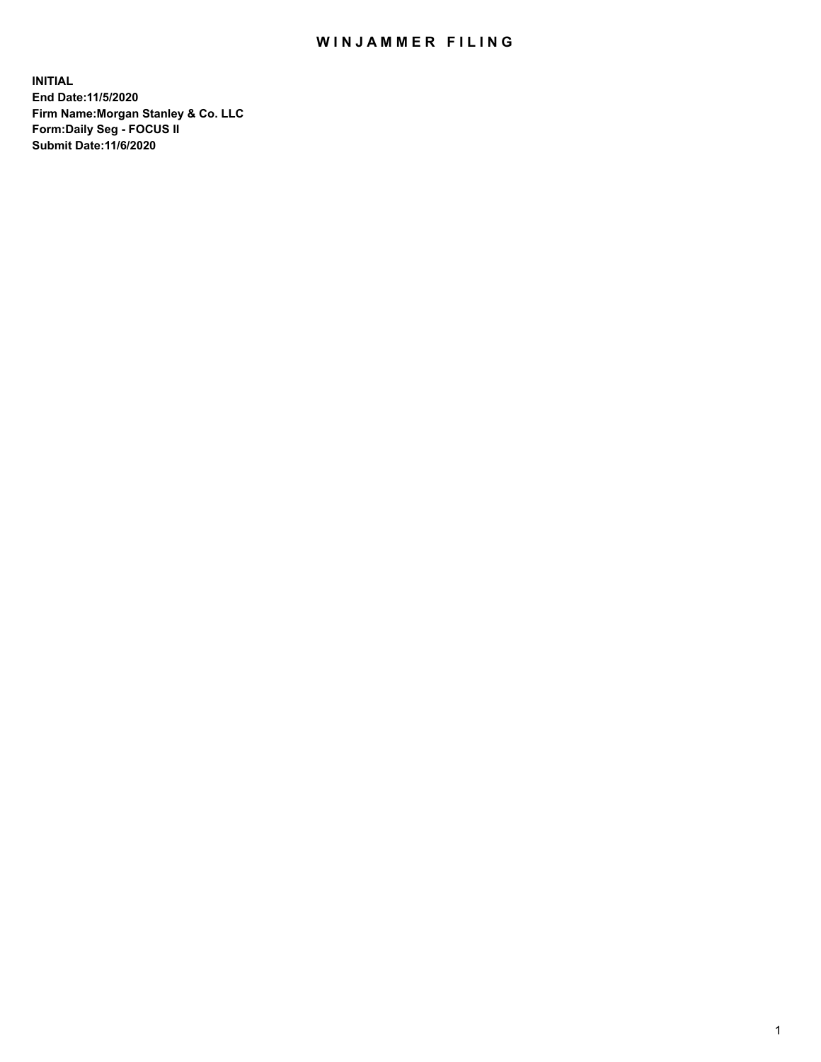## WIN JAMMER FILING

**INITIAL End Date:11/5/2020 Firm Name:Morgan Stanley & Co. LLC Form:Daily Seg - FOCUS II Submit Date:11/6/2020**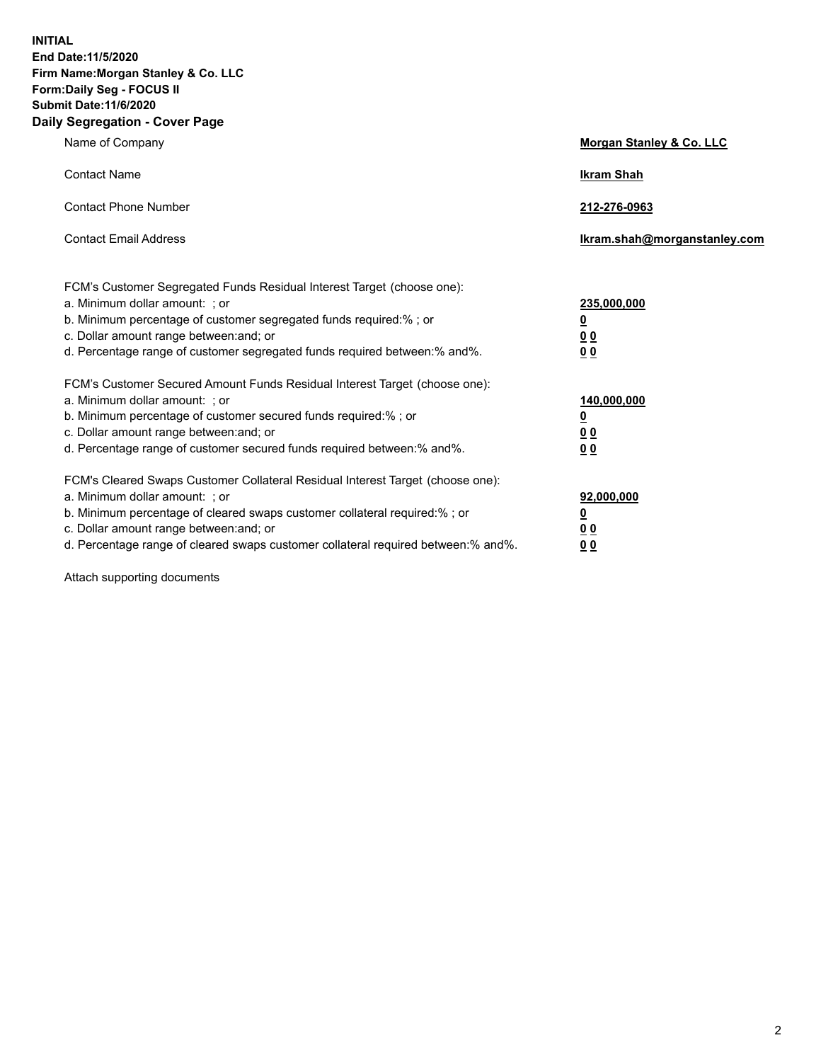**INITIAL End Date:11/5/2020 Firm Name:Morgan Stanley & Co. LLC Form:Daily Seg - FOCUS II Submit Date:11/6/2020 Daily Segregation - Cover Page**

| Name of Company                                                                                                                                                                                                                                                                                                                | <b>Morgan Stanley &amp; Co. LLC</b>                     |
|--------------------------------------------------------------------------------------------------------------------------------------------------------------------------------------------------------------------------------------------------------------------------------------------------------------------------------|---------------------------------------------------------|
| <b>Contact Name</b>                                                                                                                                                                                                                                                                                                            | <b>Ikram Shah</b>                                       |
| <b>Contact Phone Number</b>                                                                                                                                                                                                                                                                                                    | 212-276-0963                                            |
| <b>Contact Email Address</b>                                                                                                                                                                                                                                                                                                   | Ikram.shah@morganstanley.com                            |
| FCM's Customer Segregated Funds Residual Interest Target (choose one):<br>a. Minimum dollar amount: ; or<br>b. Minimum percentage of customer segregated funds required:% ; or<br>c. Dollar amount range between: and; or                                                                                                      | 235,000,000<br><u>0</u><br><u>00</u>                    |
| d. Percentage range of customer segregated funds required between:% and%.<br>FCM's Customer Secured Amount Funds Residual Interest Target (choose one):                                                                                                                                                                        | 0 <sup>0</sup>                                          |
| a. Minimum dollar amount: ; or<br>b. Minimum percentage of customer secured funds required:%; or<br>c. Dollar amount range between: and; or<br>d. Percentage range of customer secured funds required between: % and %.                                                                                                        | 140,000,000<br><u>0</u><br><u>0 0</u><br>0 <sub>0</sub> |
| FCM's Cleared Swaps Customer Collateral Residual Interest Target (choose one):<br>a. Minimum dollar amount: ; or<br>b. Minimum percentage of cleared swaps customer collateral required:% ; or<br>c. Dollar amount range between: and; or<br>d. Percentage range of cleared swaps customer collateral required between:% and%. | 92,000,000<br><u>0</u><br>0 Q<br>0 <sub>0</sub>         |

Attach supporting documents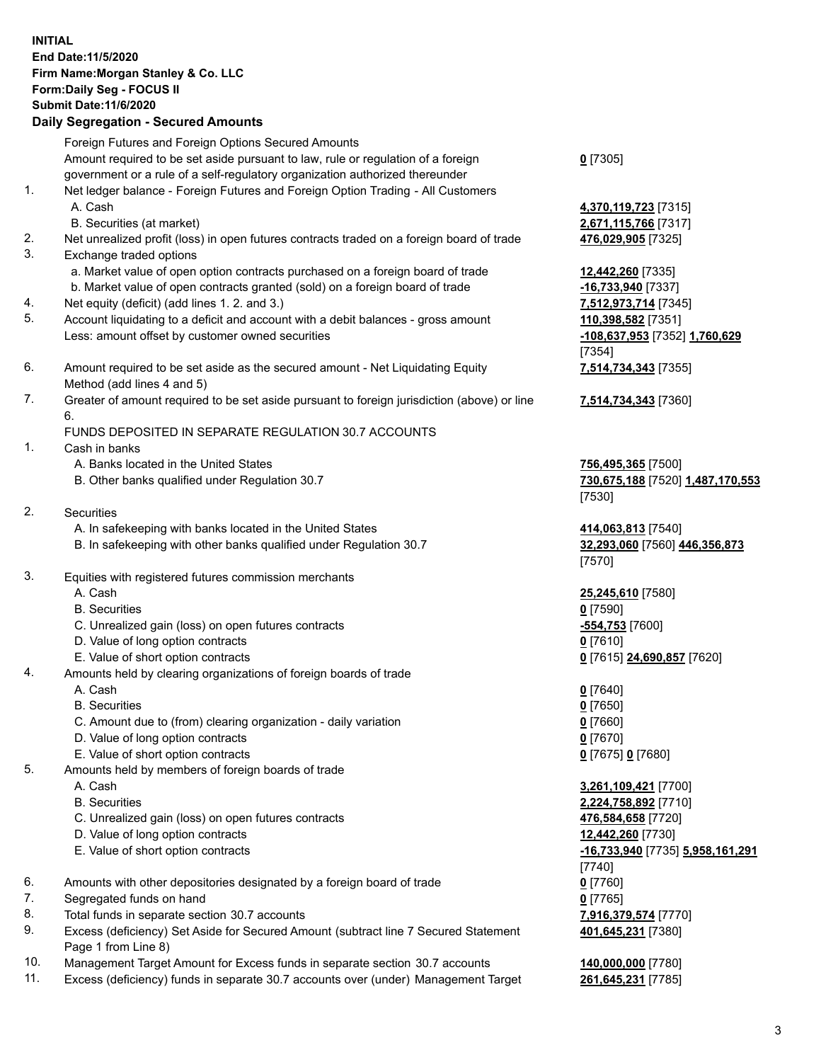## **INITIAL End Date:11/5/2020 Firm Name:Morgan Stanley & Co. LLC Form:Daily Seg - FOCUS II Submit Date:11/6/2020 Daily Segregation - Secured Amounts** Foreign Futures and Foreign Options Secured Amounts

Amount required to be set aside pursuant to law, rule or regulation of a foreign government or a rule of a self-regulatory organization authorized thereunder 1. Net ledger balance - Foreign Futures and Foreign Option Trading - All Customers A. Cash **4,370,119,723** [7315] B. Securities (at market) **2,671,115,766** [7317] 2. Net unrealized profit (loss) in open futures contracts traded on a foreign board of trade **476,029,905** [7325] 3. Exchange traded options a. Market value of open option contracts purchased on a foreign board of trade **12,442,260** [7335] b. Market value of open contracts granted (sold) on a foreign board of trade **-16,733,940** [7337] 4. Net equity (deficit) (add lines 1. 2. and 3.) **7,512,973,714** [7345] 5. Account liquidating to a deficit and account with a debit balances - gross amount **110,398,582** [7351] Less: amount offset by customer owned securities **-108,637,953** [7352] **1,760,629** 6. Amount required to be set aside as the secured amount - Net Liquidating Equity Method (add lines 4 and 5) 7. Greater of amount required to be set aside pursuant to foreign jurisdiction (above) or line 6. FUNDS DEPOSITED IN SEPARATE REGULATION 30.7 ACCOUNTS 1. Cash in banks A. Banks located in the United States **756,495,365** [7500] B. Other banks qualified under Regulation 30.7 **730,675,188** [7520] **1,487,170,553** 2. Securities A. In safekeeping with banks located in the United States **414,063,813** [7540] B. In safekeeping with other banks qualified under Regulation 30.7 **32,293,060** [7560] **446,356,873** 3. Equities with registered futures commission merchants A. Cash **25,245,610** [7580] B. Securities **0** [7590] C. Unrealized gain (loss) on open futures contracts **-554,753** [7600] D. Value of long option contracts **0** [7610]

- 
- E. Value of short option contracts **0** [7615] **24,690,857** [7620]
- 4. Amounts held by clearing organizations of foreign boards of trade
	- A. Cash **0** [7640]
	- B. Securities **0** [7650]
	- C. Amount due to (from) clearing organization daily variation **0** [7660]
	- D. Value of long option contracts **0** [7670]
	- E. Value of short option contracts **0** [7675] **0** [7680]
- 5. Amounts held by members of foreign boards of trade
	-
	-
	- C. Unrealized gain (loss) on open futures contracts **476,584,658** [7720]
	- D. Value of long option contracts **12,442,260** [7730]
	-
- 6. Amounts with other depositories designated by a foreign board of trade **0** [7760]
- 7. Segregated funds on hand **0** [7765]
- 8. Total funds in separate section 30.7 accounts **7,916,379,574** [7770]
- 9. Excess (deficiency) Set Aside for Secured Amount (subtract line 7 Secured Statement Page 1 from Line 8)
- 10. Management Target Amount for Excess funds in separate section 30.7 accounts **140,000,000** [7780]
- 11. Excess (deficiency) funds in separate 30.7 accounts over (under) Management Target **261,645,231** [7785]

**0** [7305]

[7354] **7,514,734,343** [7355]

**7,514,734,343** [7360]

[7530]

[7570]

 A. Cash **3,261,109,421** [7700] B. Securities **2,224,758,892** [7710] E. Value of short option contracts **-16,733,940** [7735] **5,958,161,291** [7740] **401,645,231** [7380]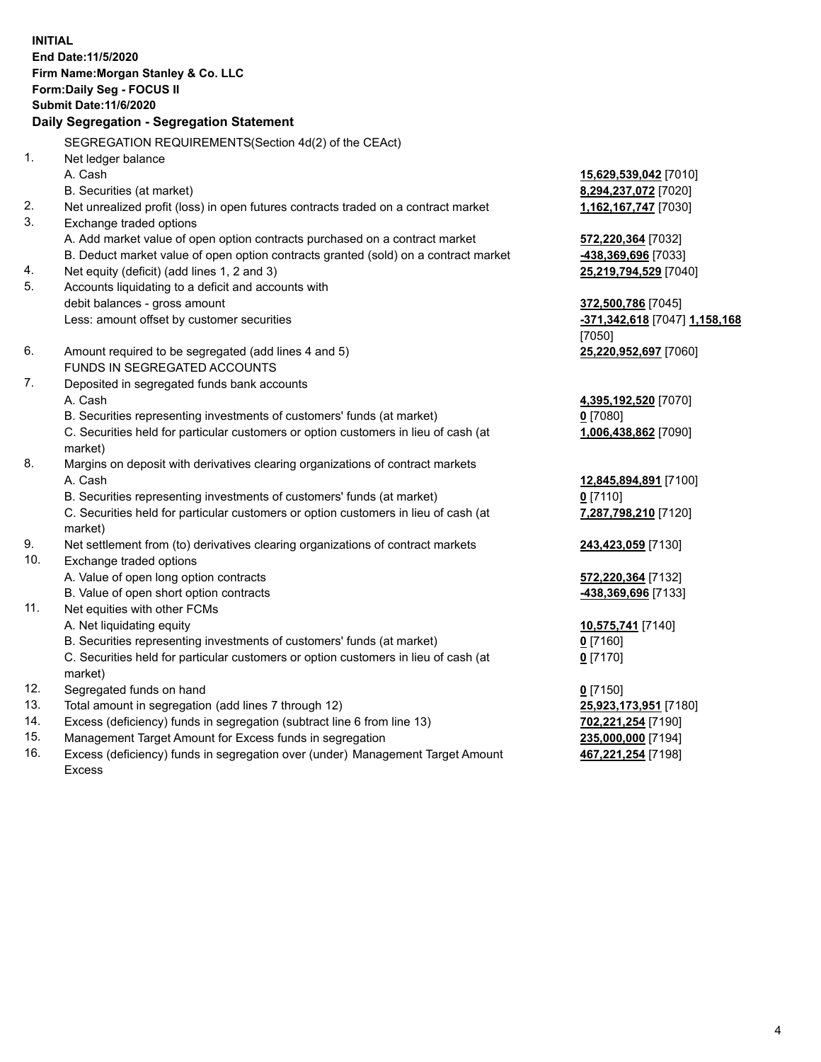**INITIAL End Date:11/5/2020 Firm Name:Morgan Stanley & Co. LLC Form:Daily Seg - FOCUS II Submit Date:11/6/2020 Daily Segregation - Segregation Statement** SEGREGATION REQUIREMENTS(Section 4d(2) of the CEAct) 1. Net ledger balance A. Cash **15,629,539,042** [7010] B. Securities (at market) **8,294,237,072** [7020] 2. Net unrealized profit (loss) in open futures contracts traded on a contract market **1,162,167,747** [7030] 3. Exchange traded options A. Add market value of open option contracts purchased on a contract market **572,220,364** [7032] B. Deduct market value of open option contracts granted (sold) on a contract market **-438,369,696** [7033] 4. Net equity (deficit) (add lines 1, 2 and 3) **25,219,794,529** [7040] 5. Accounts liquidating to a deficit and accounts with debit balances - gross amount **372,500,786** [7045] Less: amount offset by customer securities **-371,342,618** [7047] **1,158,168** [7050] 6. Amount required to be segregated (add lines 4 and 5) **25,220,952,697** [7060] FUNDS IN SEGREGATED ACCOUNTS 7. Deposited in segregated funds bank accounts A. Cash **4,395,192,520** [7070] B. Securities representing investments of customers' funds (at market) **0** [7080] C. Securities held for particular customers or option customers in lieu of cash (at market) **1,006,438,862** [7090] 8. Margins on deposit with derivatives clearing organizations of contract markets A. Cash **12,845,894,891** [7100] B. Securities representing investments of customers' funds (at market) **0** [7110] C. Securities held for particular customers or option customers in lieu of cash (at market) **7,287,798,210** [7120] 9. Net settlement from (to) derivatives clearing organizations of contract markets **243,423,059** [7130] 10. Exchange traded options A. Value of open long option contracts **572,220,364** [7132] B. Value of open short option contracts **and the set of our original contracts -438,369,696** [7133] 11. Net equities with other FCMs A. Net liquidating equity **10,575,741** [7140] B. Securities representing investments of customers' funds (at market) **0** [7160] C. Securities held for particular customers or option customers in lieu of cash (at market) **0** [7170] 12. Segregated funds on hand **0** [7150] 13. Total amount in segregation (add lines 7 through 12) **25,923,173,951** [7180] 14. Excess (deficiency) funds in segregation (subtract line 6 from line 13) **702,221,254** [7190] 15. Management Target Amount for Excess funds in segregation **235,000,000** [7194]

16. Excess (deficiency) funds in segregation over (under) Management Target Amount Excess

**467,221,254** [7198]